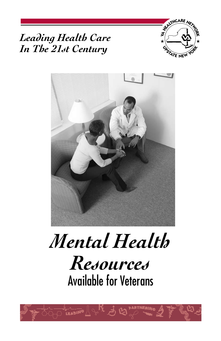





*Resources*

Available for Veterans

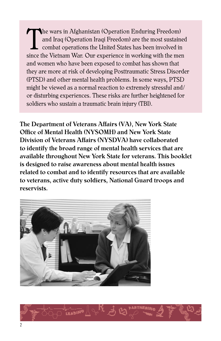The wars in Afghanistan (Operation Enduring Freedom)<br>and Iraq (Operation Iraqi Freedom) are the most sustained<br>combat operations the United States has been involved in<br>since the Vietnam War, Our experience in working with and Iraq (Operation Iraqi Freedom) are the most sustained combat operations the United States has been involved in since the Vietnam War. Our experience in working with the men and women who have been exposed to combat has shown that they are more at risk of developing Posttraumatic Stress Disorder (PTSD) and other mental health problems. In some ways, PTSD might be viewed as a normal reaction to extremely stressful and/ or disturbing experiences. These risks are further heightened for soldiers who sustain a traumatic brain injury (TBI).

The Department of Veterans Affairs (VA), New York State Office of Mental Health (NYSOMH) and New York State Division of Veterans Affairs (NYSDVA) have collaborated to identify the broad range of mental health services that are available throughout New York State for veterans. This booklet is designed to raise awareness about mental health issues related to combat and to identify resources that are available to veterans, active duty soldiers, National Guard troops and reservists.



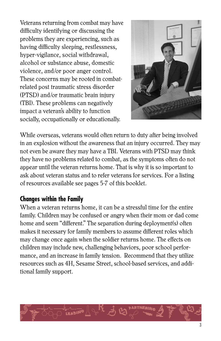Veterans returning from combat may have difficulty identifying or discussing the problems they are experiencing, such as having difficulty sleeping, restlessness, hyper-vigilance, social withdrawal, alcohol or substance abuse, domestic violence, and/or poor anger control. These concerns may be rooted in combatrelated post traumatic stress disorder (PTSD) and/or traumatic brain injury (TBI). These problems can negatively impact a veteran's ability to function socially, occupationally or educationally.



While overseas, veterans would often return to duty after being involved in an explosion without the awareness that an injury occurred. They may not even be aware they may have a TBI. Veterans with PTSD may think they have no problems related to combat, as the symptoms often do not appear until the veteran returns home. That is why it is so important to ask about veteran status and to refer veterans for services. For a listing of resources available see pages 5-7 of this booklet.

# **Changes within the Family**

When a veteran returns home, it can be a stressful time for the entire family. Children may be confused or angry when their mom or dad come home and seem "different." The separation during deployment(s) often makes it necessary for family members to assume different roles which may change once again when the soldier returns home. The effects on children may include new, challenging behaviors, poor school performance, and an increase in family tension. Recommend that they utilize resources such as 4H, Sesame Street, school-based services, and additional family support.

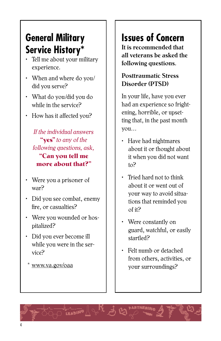# **General Military Service History\***

- Tell me about your military experience.
- When and where do you/ did you serve?
- What do you/did you do while in the service?
- How has it affected you?

*If the individual answers* **"yes"** *to any of the following questions, ask,*  **"Can you tell me more about that?"**

- Were you a prisoner of war?
- Did you see combat, enemy fire, or casualties?
- Were you wounded or hospitalized?
- Did you ever become ill while you were in the service?
	- www.va.gov/oaa

# **Issues of Concern**

It is recommended that all veterans be asked the following questions.

## Posttraumatic Stress Disorder (PTSD)

In your life, have you ever had an experience so frightening, horrible, or upsetting that, in the past month you…

- Have had nightmares about it or thought about it when you did not want to?
- Tried hard not to think about it or went out of your way to avoid situations that reminded you of it?
- Were constantly on guard, watchful, or easily startled?
- Felt numb or detached from others, activities, or your surroundings?

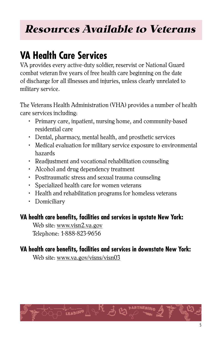# *Resources Available to Veterans*

# **VA Health Care Services**

VA provides every active-duty soldier, reservist or National Guard combat veteran five years of free health care beginning on the date of discharge for all illnesses and injuries, unless clearly unrelated to military service.

The Veterans Health Administration (VHA) provides a number of health care services including:

- Primary care, inpatient, nursing home, and community-based residential care
- Dental, pharmacy, mental health, and prosthetic services
- Medical evaluation for military service exposure to environmental hazards
- Readjustment and vocational rehabilitation counseling
- Alcohol and drug dependency treatment
- Posttraumatic stress and sexual trauma counseling
- Specialized health care for women veterans
- Health and rehabilitation programs for homeless veterans
- Domiciliary

# **VA health care benefits, facilities and services in upstate New York:**

Web site: www.visn2.va.gov Telephone: 1-888-823-9656

# **VA health care benefits, facilities and services in downstate New York:**

Web site: www.va.gov/visns/visn03

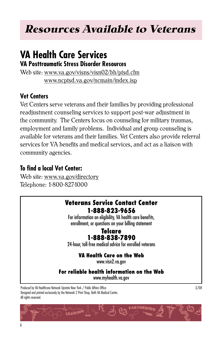# *Resources Available to Veterans*

# **VA Health Care Services**

**VA Posttraumatic Stress Disorder Resources**

Web site: www.va.gov/visns/visn02/bh/ptsd.cfm www.ncptsd.va.gov/ncmain/index.isp

## **Vet Centers**

Vet Centers serve veterans and their families by providing professional readjustment counseling services to support post-war adjustment in the community. The Centers focus on counseling for military traumas, employment and family problems. Individual and group counseling is available for veterans and their families. Vet Centers also provide referral services for VA benefits and medical services, and act as a liaison with community agencies.

# **To find a local Vet Center:**

Web site: www.va.gov/directory Telephone: 1-800-827-1000

## **Veterans Service Contact Center 1-888-823-9656**

For information on eligibility, VA health care benefits, enrollment, or questions on your billing statement

## **Telcare 1-888-838-7890**

24-hour, toll-free medical advice for enrolled veterans

## **VA Health Care on the Web**

www.visn2.va.gov

**For reliable health information on the Web**

www.myhealth.va.gov

Produced by VA Healthcare Network Upstate New York / Public Affairs Office 3/08 Designed and printed exclusively by the Network 2 Print Shop, Bath VA Medical Center. All rights reserved.

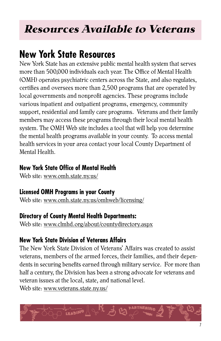# *Resources Available to Veterans*

# **New York State Resources**

New York State has an extensive public mental health system that serves more than 500,000 individuals each year. The Office of Mental Health (OMH) operates psychiatric centers across the State, and also regulates, certifies and oversees more than 2,500 programs that are operated by local governments and nonprofit agencies. These programs include various inpatient and outpatient programs, emergency, community support, residential and family care programs. Veterans and their family members may access these programs through their local mental health system. The OMH Web site includes a tool that will help you determine the mental health programs available in your county. To access mental health services in your area contact your local County Department of Mental Health.

## **New York State Office of Mental Health**

Web site: www.omh.state.ny.us/

# **Licensed OMH Programs in your County**

Web site: www.omh.state.ny.us/omhweb/licensing/

# **Directory of County Mental Health Departments:**

Web site: www.clmhd.org/about/countydirectory.aspx

# **New York State Division of Veterans Affairs**

The New York State Division of Veterans' Affairs was created to assist veterans, members of the armed forces, their families, and their dependents in securing benefits earned through military service. For more than half a century, the Division has been a strong advocate for veterans and veteran issues at the local, state, and national level. Web site: www.veterans.state.ny.us/